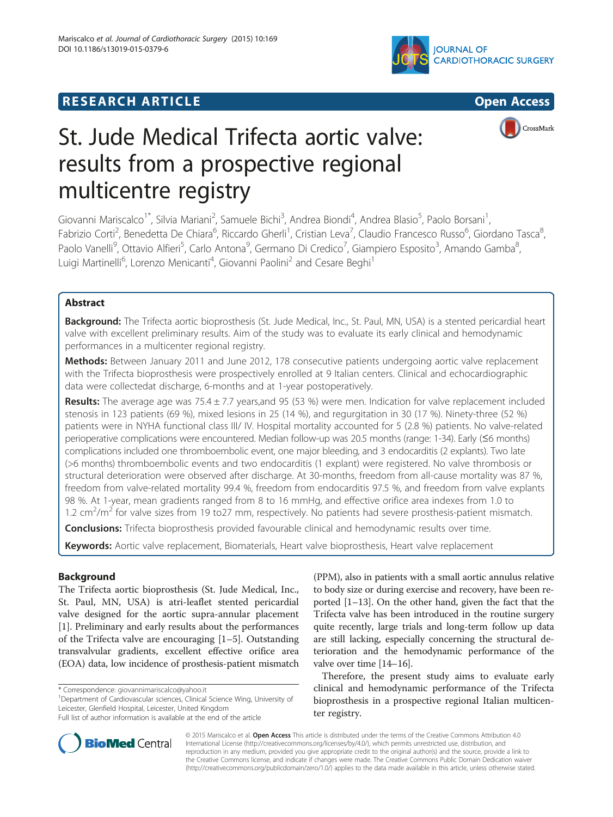# **RESEARCH ARTICLE Example 2014 12:30 The SEAR CHIPS 2014 12:30 The Open Access**





CrossMark

# St. Jude Medical Trifecta aortic valve: results from a prospective regional multicentre registry

Giovanni Mariscalco<sup>1\*</sup>, Silvia Mariani<sup>2</sup>, Samuele Bichi<sup>3</sup>, Andrea Biondi<sup>4</sup>, Andrea Blasio<sup>5</sup>, Paolo Borsani<sup>1</sup> , Fabrizio Corti<sup>2</sup>, Benedetta De Chiara<sup>6</sup>, Riccardo Gherli<sup>1</sup>, Cristian Leva<sup>7</sup>, Claudio Francesco Russo<sup>6</sup>, Giordano Tasca<sup>8</sup> , Paolo Vanelli<sup>9</sup>, Ottavio Alfieri<sup>5</sup>, Carlo Antona<sup>9</sup>, Germano Di Credico<sup>7</sup>, Giampiero Esposito<sup>3</sup>, Amando Gamba<sup>8</sup> , Luigi Martinelli<sup>6</sup>, Lorenzo Menicanti<sup>4</sup>, Giovanni Paolini<sup>2</sup> and Cesare Beghi<sup>1</sup>

# Abstract

Background: The Trifecta aortic bioprosthesis (St. Jude Medical, Inc., St. Paul, MN, USA) is a stented pericardial heart valve with excellent preliminary results. Aim of the study was to evaluate its early clinical and hemodynamic performances in a multicenter regional registry.

Methods: Between January 2011 and June 2012, 178 consecutive patients undergoing aortic valve replacement with the Trifecta bioprosthesis were prospectively enrolled at 9 Italian centers. Clinical and echocardiographic data were collectedat discharge, 6-months and at 1-year postoperatively.

Results: The average age was  $75.4 \pm 7.7$  years, and 95 (53 %) were men. Indication for valve replacement included stenosis in 123 patients (69 %), mixed lesions in 25 (14 %), and regurgitation in 30 (17 %). Ninety-three (52 %) patients were in NYHA functional class III/ IV. Hospital mortality accounted for 5 (2.8 %) patients. No valve-related perioperative complications were encountered. Median follow-up was 20.5 months (range: 1-34). Early (≤6 months) complications included one thromboembolic event, one major bleeding, and 3 endocarditis (2 explants). Two late (>6 months) thromboembolic events and two endocarditis (1 explant) were registered. No valve thrombosis or structural deterioration were observed after discharge. At 30-months, freedom from all-cause mortality was 87 %, freedom from valve-related mortality 99.4 %, freedom from endocarditis 97.5 %, and freedom from valve explants 98 %. At 1-year, mean gradients ranged from 8 to 16 mmHg, and effective orifice area indexes from 1.0 to 1.2 cm<sup>2</sup>/m<sup>2</sup> for valve sizes from 19 to27 mm, respectively. No patients had severe prosthesis-patient mismatch.

**Conclusions:** Trifecta bioprosthesis provided favourable clinical and hemodynamic results over time.

Keywords: Aortic valve replacement, Biomaterials, Heart valve bioprosthesis, Heart valve replacement

# Background

The Trifecta aortic bioprosthesis (St. Jude Medical, Inc., St. Paul, MN, USA) is atri-leaflet stented pericardial valve designed for the aortic supra-annular placement [[1\]](#page-7-0). Preliminary and early results about the performances of the Trifecta valve are encouraging [\[1](#page-7-0)–[5\]](#page-7-0). Outstanding transvalvular gradients, excellent effective orifice area (EOA) data, low incidence of prosthesis-patient mismatch

<sup>1</sup>Department of Cardiovascular sciences, Clinical Science Wing, University of Leicester, Glenfield Hospital, Leicester, United Kingdom

(PPM), also in patients with a small aortic annulus relative to body size or during exercise and recovery, have been reported [\[1](#page-7-0)–[13\]](#page-7-0). On the other hand, given the fact that the Trifecta valve has been introduced in the routine surgery quite recently, large trials and long-term follow up data are still lacking, especially concerning the structural deterioration and the hemodynamic performance of the valve over time [[14](#page-7-0)–[16](#page-7-0)].

Therefore, the present study aims to evaluate early clinical and hemodynamic performance of the Trifecta bioprosthesis in a prospective regional Italian multicenter registry.



© 2015 Mariscalco et al. Open Access This article is distributed under the terms of the Creative Commons Attribution 4.0 International License [\(http://creativecommons.org/licenses/by/4.0/](http://creativecommons.org/licenses/by/4.0/)), which permits unrestricted use, distribution, and reproduction in any medium, provided you give appropriate credit to the original author(s) and the source, provide a link to the Creative Commons license, and indicate if changes were made. The Creative Commons Public Domain Dedication waiver [\(http://creativecommons.org/publicdomain/zero/1.0/](http://creativecommons.org/publicdomain/zero/1.0/)) applies to the data made available in this article, unless otherwise stated.

<sup>\*</sup> Correspondence: [giovannimariscalco@yahoo.it](mailto:giovannimariscalco@yahoo.it) <sup>1</sup>

Full list of author information is available at the end of the article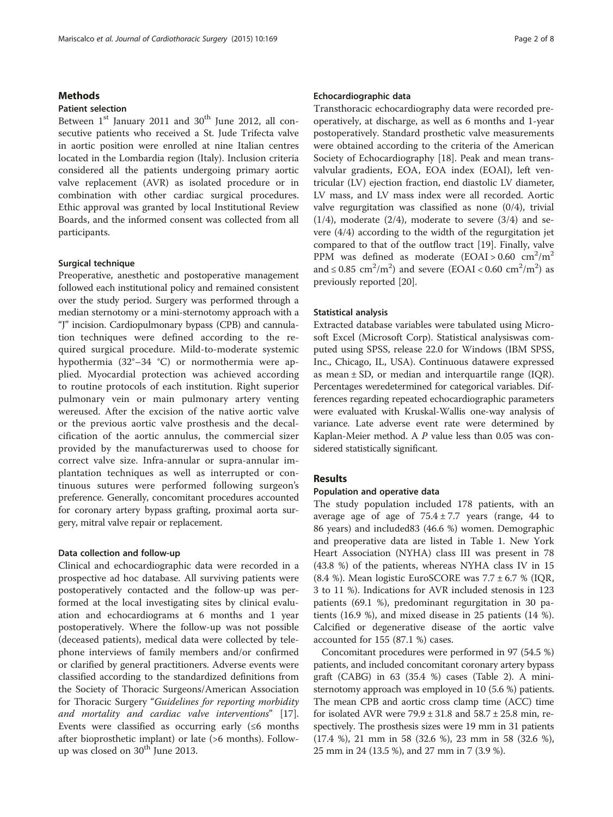#### **Methods**

#### Patient selection

Between  $1<sup>st</sup>$  January 2011 and 30<sup>th</sup> June 2012, all consecutive patients who received a St. Jude Trifecta valve in aortic position were enrolled at nine Italian centres located in the Lombardia region (Italy). Inclusion criteria considered all the patients undergoing primary aortic valve replacement (AVR) as isolated procedure or in combination with other cardiac surgical procedures. Ethic approval was granted by local Institutional Review Boards, and the informed consent was collected from all participants.

#### Surgical technique

Preoperative, anesthetic and postoperative management followed each institutional policy and remained consistent over the study period. Surgery was performed through a median sternotomy or a mini-sternotomy approach with a "J" incision. Cardiopulmonary bypass (CPB) and cannulation techniques were defined according to the required surgical procedure. Mild-to-moderate systemic hypothermia (32°–34 °C) or normothermia were applied. Myocardial protection was achieved according to routine protocols of each institution. Right superior pulmonary vein or main pulmonary artery venting wereused. After the excision of the native aortic valve or the previous aortic valve prosthesis and the decalcification of the aortic annulus, the commercial sizer provided by the manufacturerwas used to choose for correct valve size. Infra-annular or supra-annular implantation techniques as well as interrupted or continuous sutures were performed following surgeon's preference. Generally, concomitant procedures accounted for coronary artery bypass grafting, proximal aorta surgery, mitral valve repair or replacement.

#### Data collection and follow-up

Clinical and echocardiographic data were recorded in a prospective ad hoc database. All surviving patients were postoperatively contacted and the follow-up was performed at the local investigating sites by clinical evaluation and echocardiograms at 6 months and 1 year postoperatively. Where the follow-up was not possible (deceased patients), medical data were collected by telephone interviews of family members and/or confirmed or clarified by general practitioners. Adverse events were classified according to the standardized definitions from the Society of Thoracic Surgeons/American Association for Thoracic Surgery "Guidelines for reporting morbidity and mortality and cardiac valve interventions" [\[17](#page-7-0)]. Events were classified as occurring early  $(≤6$  months after bioprosthetic implant) or late (>6 months). Followup was closed on 30<sup>th</sup> June 2013.

#### Echocardiographic data

Transthoracic echocardiography data were recorded preoperatively, at discharge, as well as 6 months and 1-year postoperatively. Standard prosthetic valve measurements were obtained according to the criteria of the American Society of Echocardiography [[18\]](#page-7-0). Peak and mean transvalvular gradients, EOA, EOA index (EOAI), left ventricular (LV) ejection fraction, end diastolic LV diameter, LV mass, and LV mass index were all recorded. Aortic valve regurgitation was classified as none (0/4), trivial  $(1/4)$ , moderate  $(2/4)$ , moderate to severe  $(3/4)$  and severe (4/4) according to the width of the regurgitation jet compared to that of the outflow tract [\[19\]](#page-7-0). Finally, valve PPM was defined as moderate  $(EOAI > 0.60 \text{ cm}^2/\text{m}^2)$ and  $\leq 0.85$  cm<sup>2</sup>/m<sup>2</sup>) and severe (EOAI < 0.60 cm<sup>2</sup>/m<sup>2</sup>) as previously reported [\[20](#page-7-0)].

#### Statistical analysis

Extracted database variables were tabulated using Microsoft Excel (Microsoft Corp). Statistical analysiswas computed using SPSS, release 22.0 for Windows (IBM SPSS, Inc., Chicago, IL, USA). Continuous datawere expressed as mean  $\pm$  SD, or median and interquartile range (IQR). Percentages weredetermined for categorical variables. Differences regarding repeated echocardiographic parameters were evaluated with Kruskal-Wallis one-way analysis of variance. Late adverse event rate were determined by Kaplan-Meier method. A P value less than 0.05 was considered statistically significant.

# Results

#### Population and operative data

The study population included 178 patients, with an average age of age of  $75.4 \pm 7.7$  years (range, 44 to 86 years) and included83 (46.6 %) women. Demographic and preoperative data are listed in Table [1.](#page-2-0) New York Heart Association (NYHA) class III was present in 78 (43.8 %) of the patients, whereas NYHA class IV in 15  $(8.4 \%)$ . Mean logistic EuroSCORE was  $7.7 \pm 6.7 \%$  (IQR, 3 to 11 %). Indications for AVR included stenosis in 123 patients (69.1 %), predominant regurgitation in 30 patients (16.9 %), and mixed disease in 25 patients (14 %). Calcified or degenerative disease of the aortic valve accounted for 155 (87.1 %) cases.

Concomitant procedures were performed in 97 (54.5 %) patients, and included concomitant coronary artery bypass graft (CABG) in 63 (35.4 %) cases (Table [2](#page-2-0)). A ministernotomy approach was employed in 10 (5.6 %) patients. The mean CPB and aortic cross clamp time (ACC) time for isolated AVR were  $79.9 \pm 31.8$  and  $58.7 \pm 25.8$  min, respectively. The prosthesis sizes were 19 mm in 31 patients (17.4 %), 21 mm in 58 (32.6 %), 23 mm in 58 (32.6 %), 25 mm in 24 (13.5 %), and 27 mm in 7 (3.9 %).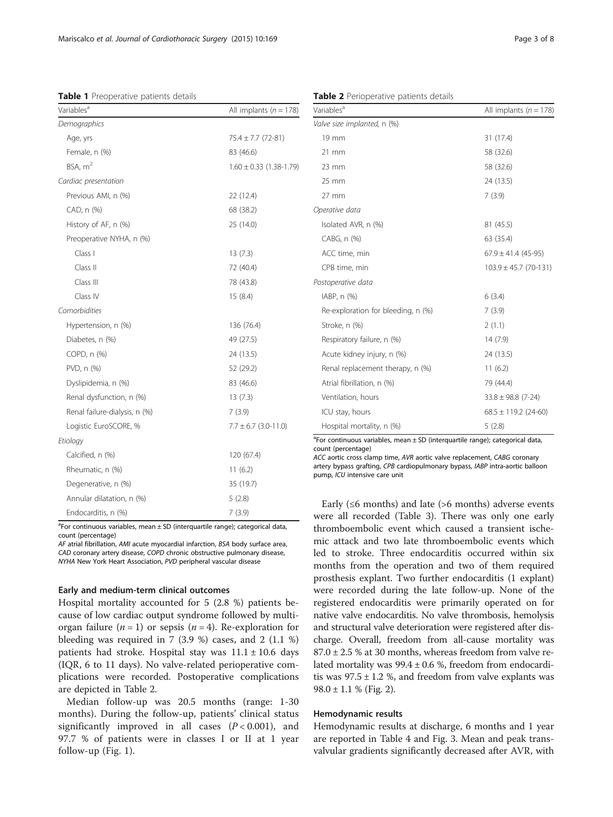<span id="page-2-0"></span>Table 1 Preoperative patients details

| Variables <sup>a</sup>        | All implants ( $n = 178$ )  |
|-------------------------------|-----------------------------|
| Demographics                  |                             |
| Age, yrs                      | 75.4 ± 7.7 (72-81)          |
| Female, n (%)                 | 83 (46.6)                   |
| BSA, m <sup>2</sup>           | $1.60 \pm 0.33$ (1.38-1.79) |
| Cardiac presentation          |                             |
| Previous AMI, n (%)           | 22 (12.4)                   |
| CAD, n (%)                    | 68 (38.2)                   |
| History of AF, n (%)          | 25 (14.0)                   |
| Preoperative NYHA, n (%)      |                             |
| Class I                       | 13(7.3)                     |
| Class II                      | 72 (40.4)                   |
| Class III                     | 78 (43.8)                   |
| Class IV                      | 15(8.4)                     |
| Comorbidities                 |                             |
| Hypertension, n (%)           | 136 (76.4)                  |
| Diabetes, n (%)               | 49 (27.5)                   |
| COPD, n (%)                   | 24 (13.5)                   |
| PVD, n (%)                    | 52 (29.2)                   |
| Dyslipidemia, n (%)           | 83 (46.6)                   |
| Renal dysfunction, n (%)      | 13(7.3)                     |
| Renal failure-dialysis, n (%) | 7(3.9)                      |
| Logistic EuroSCORE, %         | $7.7 \pm 6.7$ (3.0-11.0)    |
| Etiology                      |                             |
| Calcified, n (%)              | 120 (67.4)                  |
| Rheumatic, n (%)              | 11(6.2)                     |
| Degenerative, n (%)           | 35 (19.7)                   |
| Annular dilatation, n (%)     | 5(2.8)                      |
| Endocarditis, n (%)           | 7(3.9)                      |
|                               |                             |

<sup>a</sup>For continuous variables, mean ± SD (interquartile range); categorical data, count (percentage)

AF atrial fibrillation, AMI acute myocardial infarction, BSA body surface area, CAD coronary artery disease, COPD chronic obstructive pulmonary disease, NYHA New York Heart Association, PVD peripheral vascular disease

#### Early and medium-term clinical outcomes

Hospital mortality accounted for 5 (2.8 %) patients because of low cardiac output syndrome followed by multiorgan failure  $(n = 1)$  or sepsis  $(n = 4)$ . Re-exploration for bleeding was required in 7 (3.9 %) cases, and 2 (1.1 %) patients had stroke. Hospital stay was  $11.1 \pm 10.6$  days (IQR, 6 to 11 days). No valve-related perioperative complications were recorded. Postoperative complications are depicted in Table 2.

Median follow-up was 20.5 months (range: 1-30 months). During the follow-up, patients' clinical status significantly improved in all cases  $(P < 0.001)$ , and 97.7 % of patients were in classes I or II at 1 year follow-up (Fig. [1\)](#page-3-0).

21 mm 58 (32.6) 23 mm 58 (32.6) 25 mm 24 (13.5) 27 mm 7 (3.9) Operative data Isolated AVR, n (%) 81 (45.5) CABG, n (%) 63 (35.4) ACC time, min 67.9  $\pm$  41.4 (45-95) CPB time, min  $103.9 \pm 45.7$  (70-131) Postoperative data

Variables<sup>a</sup>  $\qquad \qquad$ All implants ( $n = 178$ )

19 mm 31 (17.4)

Table 2 Perioperative patients details

Valve size implanted, n (%)

| IABP, n (%)                        | 6(3.4)                   |
|------------------------------------|--------------------------|
| Re-exploration for bleeding, n (%) | 7(3.9)                   |
| Stroke, n (%)                      | 2(1.1)                   |
| Respiratory failure, n (%)         | 14(7.9)                  |
| Acute kidney injury, n (%)         | 24 (13.5)                |
| Renal replacement therapy, n (%)   | 11(6.2)                  |
| Atrial fibrillation, n (%)         | 79 (44.4)                |
| Ventilation, hours                 | $33.8 \pm 98.8$ (7-24)   |
| ICU stay, hours                    | $68.5 \pm 119.2$ (24-60) |
| Hospital mortality, n (%)          | 5(2.8)                   |

<sup>a</sup>For continuous variables, mean ± SD (interquartile range); categorical data, count (percentage)

ACC aortic cross clamp time, AVR aortic valve replacement, CABG coronary artery bypass grafting, CPB cardiopulmonary bypass, IABP intra-aortic balloon pump, ICU intensive care unit

Early ( $\leq$ 6 months) and late ( $>$ 6 months) adverse events were all recorded (Table [3\)](#page-3-0). There was only one early thromboembolic event which caused a transient ischemic attack and two late thromboembolic events which led to stroke. Three endocarditis occurred within six months from the operation and two of them required prosthesis explant. Two further endocarditis (1 explant) were recorded during the late follow-up. None of the registered endocarditis were primarily operated on for native valve endocarditis. No valve thrombosis, hemolysis and structural valve deterioration were registered after discharge. Overall, freedom from all-cause mortality was  $87.0 \pm 2.5$  % at 30 months, whereas freedom from valve related mortality was  $99.4 \pm 0.6$  %, freedom from endocarditis was  $97.5 \pm 1.2$  %, and freedom from valve explants was  $98.0 \pm 1.1$  % (Fig. [2](#page-4-0)).

#### Hemodynamic results

Hemodynamic results at discharge, 6 months and 1 year are reported in Table [4](#page-5-0) and Fig. [3.](#page-6-0) Mean and peak transvalvular gradients significantly decreased after AVR, with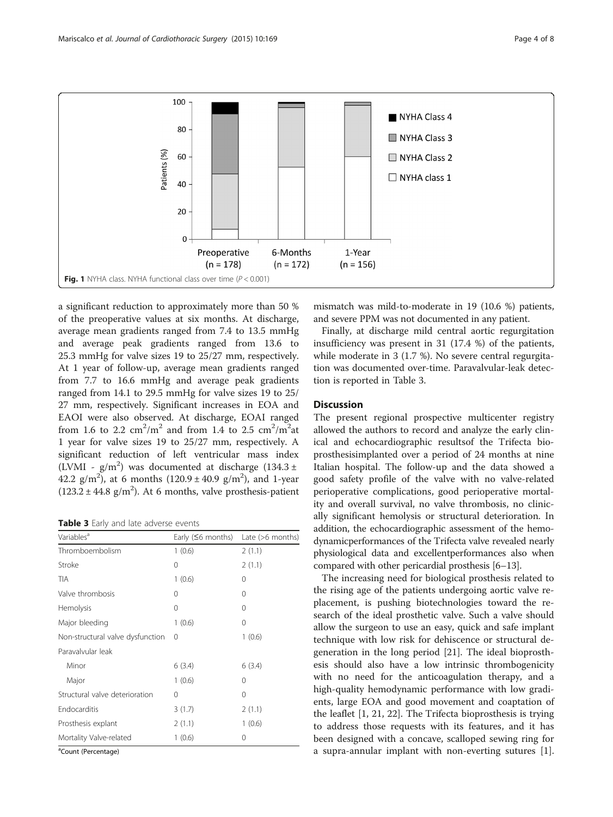<span id="page-3-0"></span>

a significant reduction to approximately more than 50 % of the preoperative values at six months. At discharge, average mean gradients ranged from 7.4 to 13.5 mmHg and average peak gradients ranged from 13.6 to 25.3 mmHg for valve sizes 19 to 25/27 mm, respectively. At 1 year of follow-up, average mean gradients ranged from 7.7 to 16.6 mmHg and average peak gradients ranged from 14.1 to 29.5 mmHg for valve sizes 19 to 25/ 27 mm, respectively. Significant increases in EOA and EAOI were also observed. At discharge, EOAI ranged from 1.6 to 2.2  $\text{cm}^2/\text{m}^2$  and from 1.4 to 2.5  $\text{cm}^2/\text{m}^2$ at 1 year for valve sizes 19 to 25/27 mm, respectively. A significant reduction of left ventricular mass index (LVMI -  $g/m^2$ ) was documented at discharge (134.3 ± 42.2  $g/m^2$ ), at 6 months (120.9 ± 40.9  $g/m^2$ ), and 1-year  $(123.2 \pm 44.8 \text{ g/m}^2)$ . At 6 months, valve prosthesis-patient

Table 3 Early and late adverse events

| Early $(56$ months) | Late $(>6$ months) |
|---------------------|--------------------|
| 1(0.6)              | 2(1.1)             |
| 0                   | 2(1.1)             |
| 1(0.6)              | $\Omega$           |
| 0                   | $\Omega$           |
| 0                   | $\Omega$           |
| 1(0.6)              | 0                  |
| 0                   | 1(0.6)             |
|                     |                    |
| 6(3.4)              | 6(3.4)             |
| 1(0.6)              | $\Omega$           |
| 0                   | $\Omega$           |
| 3(1.7)              | 2(1.1)             |
| 2(1.1)              | 1(0.6)             |
| 1(0.6)              | 0                  |
|                     |                    |

<sup>a</sup>Count (Percentage)

mismatch was mild-to-moderate in 19 (10.6 %) patients, and severe PPM was not documented in any patient.

Finally, at discharge mild central aortic regurgitation insufficiency was present in 31 (17.4 %) of the patients, while moderate in 3 (1.7 %). No severe central regurgitation was documented over-time. Paravalvular-leak detection is reported in Table 3.

## **Discussion**

The present regional prospective multicenter registry allowed the authors to record and analyze the early clinical and echocardiographic resultsof the Trifecta bioprosthesisimplanted over a period of 24 months at nine Italian hospital. The follow-up and the data showed a good safety profile of the valve with no valve-related perioperative complications, good perioperative mortality and overall survival, no valve thrombosis, no clinically significant hemolysis or structural deterioration. In addition, the echocardiographic assessment of the hemodynamicperformances of the Trifecta valve revealed nearly physiological data and excellentperformances also when compared with other pericardial prosthesis [[6](#page-7-0)–[13\]](#page-7-0).

The increasing need for biological prosthesis related to the rising age of the patients undergoing aortic valve replacement, is pushing biotechnologies toward the research of the ideal prosthetic valve. Such a valve should allow the surgeon to use an easy, quick and safe implant technique with low risk for dehiscence or structural degeneration in the long period [\[21](#page-7-0)]. The ideal bioprosthesis should also have a low intrinsic thrombogenicity with no need for the anticoagulation therapy, and a high-quality hemodynamic performance with low gradients, large EOA and good movement and coaptation of the leaflet [\[1](#page-7-0), [21](#page-7-0), [22](#page-7-0)]. The Trifecta bioprosthesis is trying to address those requests with its features, and it has been designed with a concave, scalloped sewing ring for a supra-annular implant with non-everting sutures [\[1](#page-7-0)].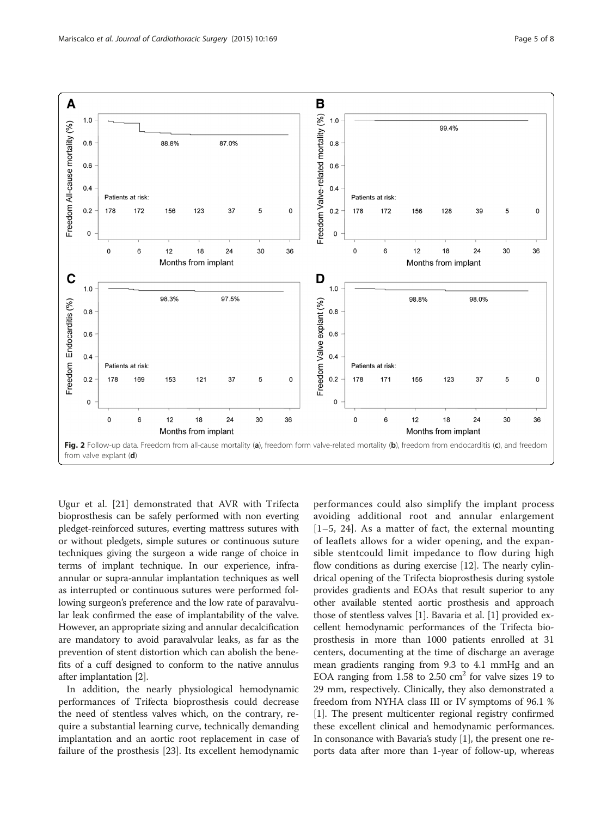<span id="page-4-0"></span>

Ugur et al. [\[21\]](#page-7-0) demonstrated that AVR with Trifecta bioprosthesis can be safely performed with non everting pledget-reinforced sutures, everting mattress sutures with or without pledgets, simple sutures or continuous suture techniques giving the surgeon a wide range of choice in terms of implant technique. In our experience, infraannular or supra-annular implantation techniques as well as interrupted or continuous sutures were performed following surgeon's preference and the low rate of paravalvular leak confirmed the ease of implantability of the valve. However, an appropriate sizing and annular decalcification are mandatory to avoid paravalvular leaks, as far as the prevention of stent distortion which can abolish the benefits of a cuff designed to conform to the native annulus after implantation [\[2](#page-7-0)].

In addition, the nearly physiological hemodynamic performances of Trifecta bioprosthesis could decrease the need of stentless valves which, on the contrary, require a substantial learning curve, technically demanding implantation and an aortic root replacement in case of failure of the prosthesis [\[23\]](#page-7-0). Its excellent hemodynamic

performances could also simplify the implant process avoiding additional root and annular enlargement [[1](#page-7-0)–[5](#page-7-0), [24](#page-7-0)]. As a matter of fact, the external mounting of leaflets allows for a wider opening, and the expansible stentcould limit impedance to flow during high flow conditions as during exercise [[12](#page-7-0)]. The nearly cylindrical opening of the Trifecta bioprosthesis during systole provides gradients and EOAs that result superior to any other available stented aortic prosthesis and approach those of stentless valves [\[1](#page-7-0)]. Bavaria et al. [[1\]](#page-7-0) provided excellent hemodynamic performances of the Trifecta bioprosthesis in more than 1000 patients enrolled at 31 centers, documenting at the time of discharge an average mean gradients ranging from 9.3 to 4.1 mmHg and an EOA ranging from  $1.58$  to  $2.50$  cm<sup>2</sup> for valve sizes 19 to 29 mm, respectively. Clinically, they also demonstrated a freedom from NYHA class III or IV symptoms of 96.1 % [[1\]](#page-7-0). The present multicenter regional registry confirmed these excellent clinical and hemodynamic performances. In consonance with Bavaria's study [[1](#page-7-0)], the present one reports data after more than 1-year of follow-up, whereas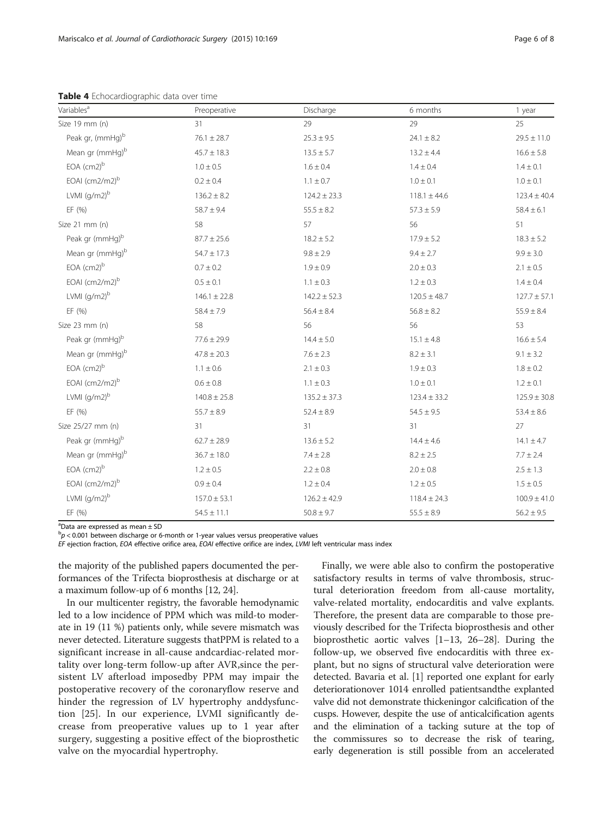<span id="page-5-0"></span>Table 4 Echocardiographic data over time

| Variables <sup>a</sup>       | Preoperative     | Discharge        | 6 months         | 1 year           |
|------------------------------|------------------|------------------|------------------|------------------|
| Size 19 mm (n)               | 31               | 29               | 29               | 25               |
| Peak gr, (mmHg) <sup>b</sup> | $76.1 \pm 28.7$  | $25.3 \pm 9.5$   | $24.1 \pm 8.2$   | $29.5 \pm 11.0$  |
| Mean gr (mmHg)b              | $45.7 \pm 18.3$  | $13.5 \pm 5.7$   | $13.2 \pm 4.4$   | $16.6 \pm 5.8$   |
| EOA $(cm2)^{b}$              | $1.0 \pm 0.5$    | $1.6 \pm 0.4$    | $1.4 \pm 0.4$    | $1.4 \pm 0.1$    |
| EOAI (cm2/m2) <sup>b</sup>   | $0.2 \pm 0.4$    | $1.1\pm0.7$      | $1.0 \pm 0.1$    | $1.0 \pm 0.1$    |
| LVMI $(g/m2)^b$              | $136.2 \pm 8.2$  | $124.2 \pm 23.3$ | $118.1 \pm 44.6$ | $123.4 \pm 40.4$ |
| EF (%)                       | $58.7 \pm 9.4$   | $55.5 \pm 8.2$   | $57.3 \pm 5.9$   | $58.4 \pm 6.1$   |
| Size 21 mm (n)               | 58               | 57               | 56               | 51               |
| Peak gr (mmHg)b              | $87.7 \pm 25.6$  | $18.2 \pm 5.2$   | $17.9 \pm 5.2$   | $18.3 \pm 5.2$   |
| Mean gr (mmHg) <sup>b</sup>  | $54.7 \pm 17.3$  | $9.8 \pm 2.9$    | $9.4 \pm 2.7$    | $9.9 \pm 3.0$    |
| EOA (cm2) <sup>b</sup>       | $0.7 \pm 0.2$    | $1.9 \pm 0.9$    | $2.0 \pm 0.3$    | $2.1 \pm 0.5$    |
| EOAI (cm2/m2) <sup>b</sup>   | $0.5 \pm 0.1$    | $1.1 \pm 0.3$    | $1.2 \pm 0.3$    | $1.4 \pm 0.4$    |
| LVMI $(g/m2)^b$              | $146.1 \pm 22.8$ | $142.2 \pm 52.3$ | $120.5 \pm 48.7$ | $127.7 \pm 57.1$ |
| EF (%)                       | $58.4 \pm 7.9$   | $56.4 \pm 8.4$   | $56.8 \pm 8.2$   | $55.9 \pm 8.4$   |
| Size 23 mm (n)               | 58               | 56               | 56               | 53               |
| Peak gr (mmHg) <sup>b</sup>  | $77.6 \pm 29.9$  | $14.4 \pm 5.0$   | $15.1 \pm 4.8$   | $16.6 \pm 5.4$   |
| Mean gr (mmHg) <sup>b</sup>  | $47.8 \pm 20.3$  | $7.6 \pm 2.3$    | $8.2 \pm 3.1$    | $9.1 \pm 3.2$    |
| EOA $(cm2)^{b}$              | $1.1 \pm 0.6$    | $2.1 \pm 0.3$    | $1.9 \pm 0.3$    | $1.8 \pm 0.2$    |
| EOAI (cm2/m2) <sup>b</sup>   | $0.6 \pm 0.8$    | $1.1 \pm 0.3$    | $1.0 \pm 0.1$    | $1.2 \pm 0.1$    |
| LVMI (g/m2) <sup>b</sup>     | $140.8 \pm 25.8$ | $135.2 \pm 37.3$ | $123.4 \pm 33.2$ | $125.9 \pm 30.8$ |
| EF (%)                       | $55.7 \pm 8.9$   | $52.4 \pm 8.9$   | $54.5 \pm 9.5$   | $53.4 \pm 8.6$   |
| Size 25/27 mm (n)            | 31               | 31               | 31               | 27               |
| Peak gr (mmHg)b              | $62.7 \pm 28.9$  | $13.6 \pm 5.2$   | $14.4 \pm 4.6$   | $14.1 \pm 4.7$   |
| Mean gr (mmHg)b              | $36.7 \pm 18.0$  | $7.4 \pm 2.8$    | $8.2 \pm 2.5$    | $7.7 \pm 2.4$    |
| EOA $(cm2)^{b}$              | $1.2 \pm 0.5$    | $2.2 \pm 0.8$    | $2.0 \pm 0.8$    | $2.5 \pm 1.3$    |
| EOAI (cm2/m2) <sup>b</sup>   | $0.9 \pm 0.4$    | $1.2 \pm 0.4$    | $1.2 \pm 0.5$    | $1.5 \pm 0.5$    |
| LVMI (g/m2) <sup>b</sup>     | $157.0 \pm 53.1$ | $126.2 \pm 42.9$ | $118.4 \pm 24.3$ | $100.9 \pm 41.0$ |
| EF (%)                       | $54.5 \pm 11.1$  | $50.8 \pm 9.7$   | $55.5 \pm 8.9$   | $56.2 \pm 9.5$   |

a Data are expressed as mean ± SD

 $b_p$  < 0.001 between discharge or 6-month or 1-year values versus preoperative values

EF ejection fraction, EOA effective orifice area, EOAI effective orifice are index, LVMI left ventricular mass index

the majority of the published papers documented the performances of the Trifecta bioprosthesis at discharge or at a maximum follow-up of 6 months [\[12](#page-7-0), [24](#page-7-0)].

In our multicenter registry, the favorable hemodynamic led to a low incidence of PPM which was mild-to moderate in 19 (11 %) patients only, while severe mismatch was never detected. Literature suggests thatPPM is related to a significant increase in all-cause andcardiac-related mortality over long-term follow-up after AVR,since the persistent LV afterload imposedby PPM may impair the postoperative recovery of the coronaryflow reserve and hinder the regression of LV hypertrophy anddysfunction [\[25](#page-7-0)]. In our experience, LVMI significantly decrease from preoperative values up to 1 year after surgery, suggesting a positive effect of the bioprosthetic valve on the myocardial hypertrophy.

Finally, we were able also to confirm the postoperative satisfactory results in terms of valve thrombosis, structural deterioration freedom from all-cause mortality, valve-related mortality, endocarditis and valve explants. Therefore, the present data are comparable to those previously described for the Trifecta bioprosthesis and other bioprosthetic aortic valves [\[1](#page-7-0)–[13, 26](#page-7-0)–[28](#page-7-0)]. During the follow-up, we observed five endocarditis with three explant, but no signs of structural valve deterioration were detected. Bavaria et al. [[1\]](#page-7-0) reported one explant for early deteriorationover 1014 enrolled patientsandthe explanted valve did not demonstrate thickeningor calcification of the cusps. However, despite the use of anticalcification agents and the elimination of a tacking suture at the top of the commissures so to decrease the risk of tearing, early degeneration is still possible from an accelerated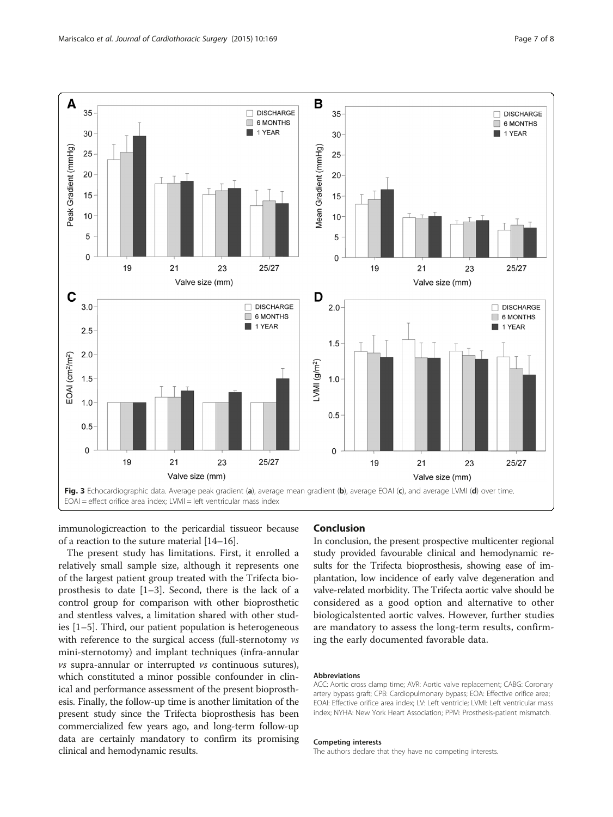<span id="page-6-0"></span>

immunologicreaction to the pericardial tissueor because of a reaction to the suture material [\[14](#page-7-0)–[16](#page-7-0)].

The present study has limitations. First, it enrolled a relatively small sample size, although it represents one of the largest patient group treated with the Trifecta bioprosthesis to date [[1](#page-7-0)–[3\]](#page-7-0). Second, there is the lack of a control group for comparison with other bioprosthetic and stentless valves, a limitation shared with other studies [[1](#page-7-0)–[5](#page-7-0)]. Third, our patient population is heterogeneous with reference to the surgical access (full-sternotomy  $\nu s$ mini-sternotomy) and implant techniques (infra-annular vs supra-annular or interrupted vs continuous sutures), which constituted a minor possible confounder in clinical and performance assessment of the present bioprosthesis. Finally, the follow-up time is another limitation of the present study since the Trifecta bioprosthesis has been commercialized few years ago, and long-term follow-up data are certainly mandatory to confirm its promising clinical and hemodynamic results.

# Conclusion

In conclusion, the present prospective multicenter regional study provided favourable clinical and hemodynamic results for the Trifecta bioprosthesis, showing ease of implantation, low incidence of early valve degeneration and valve-related morbidity. The Trifecta aortic valve should be considered as a good option and alternative to other biologicalstented aortic valves. However, further studies are mandatory to assess the long-term results, confirming the early documented favorable data.

#### Abbreviations

ACC: Aortic cross clamp time; AVR: Aortic valve replacement; CABG: Coronary artery bypass graft; CPB: Cardiopulmonary bypass; EOA: Effective orifice area; EOAI: Effective orifice area index; LV: Left ventricle; LVMI: Left ventricular mass index; NYHA: New York Heart Association; PPM: Prosthesis-patient mismatch.

#### Competing interests

The authors declare that they have no competing interests.